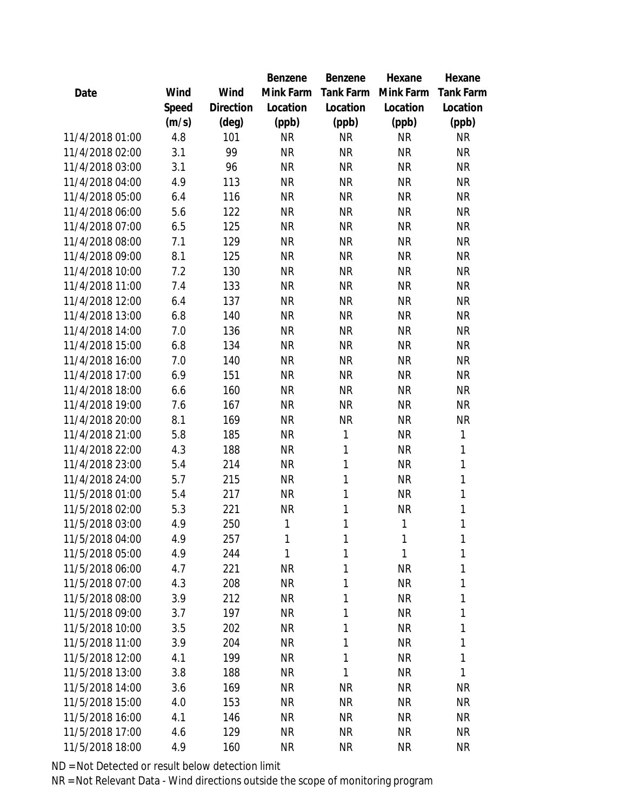|                 |       |                | Benzene   | Benzene   | Hexane    | Hexane           |
|-----------------|-------|----------------|-----------|-----------|-----------|------------------|
| Date            | Wind  | Wind           | Mink Farm | Tank Farm | Mink Farm | <b>Tank Farm</b> |
|                 | Speed | Direction      | Location  | Location  | Location  | Location         |
|                 | (m/s) | $(\text{deg})$ | (ppb)     | (ppb)     | (ppb)     | (ppb)            |
| 11/4/2018 01:00 | 4.8   | 101            | <b>NR</b> | <b>NR</b> | <b>NR</b> | <b>NR</b>        |
| 11/4/2018 02:00 | 3.1   | 99             | <b>NR</b> | <b>NR</b> | <b>NR</b> | <b>NR</b>        |
| 11/4/2018 03:00 | 3.1   | 96             | <b>NR</b> | <b>NR</b> | <b>NR</b> | <b>NR</b>        |
| 11/4/2018 04:00 | 4.9   | 113            | <b>NR</b> | <b>NR</b> | <b>NR</b> | <b>NR</b>        |
| 11/4/2018 05:00 | 6.4   | 116            | <b>NR</b> | <b>NR</b> | <b>NR</b> | <b>NR</b>        |
| 11/4/2018 06:00 | 5.6   | 122            | <b>NR</b> | <b>NR</b> | <b>NR</b> | <b>NR</b>        |
| 11/4/2018 07:00 | 6.5   | 125            | <b>NR</b> | <b>NR</b> | <b>NR</b> | <b>NR</b>        |
| 11/4/2018 08:00 | 7.1   | 129            | <b>NR</b> | <b>NR</b> | <b>NR</b> | <b>NR</b>        |
| 11/4/2018 09:00 | 8.1   | 125            | <b>NR</b> | <b>NR</b> | <b>NR</b> | <b>NR</b>        |
| 11/4/2018 10:00 | 7.2   | 130            | <b>NR</b> | <b>NR</b> | <b>NR</b> | <b>NR</b>        |
| 11/4/2018 11:00 | 7.4   | 133            | <b>NR</b> | <b>NR</b> | <b>NR</b> | <b>NR</b>        |
| 11/4/2018 12:00 | 6.4   | 137            | <b>NR</b> | <b>NR</b> | <b>NR</b> | <b>NR</b>        |
| 11/4/2018 13:00 | 6.8   | 140            | <b>NR</b> | <b>NR</b> | <b>NR</b> | <b>NR</b>        |
| 11/4/2018 14:00 | 7.0   | 136            | <b>NR</b> | <b>NR</b> | <b>NR</b> | <b>NR</b>        |
| 11/4/2018 15:00 | 6.8   | 134            | <b>NR</b> | <b>NR</b> | <b>NR</b> | <b>NR</b>        |
| 11/4/2018 16:00 | 7.0   | 140            | <b>NR</b> | <b>NR</b> | <b>NR</b> | <b>NR</b>        |
| 11/4/2018 17:00 | 6.9   | 151            | <b>NR</b> | <b>NR</b> | <b>NR</b> | <b>NR</b>        |
| 11/4/2018 18:00 | 6.6   | 160            | <b>NR</b> | <b>NR</b> | <b>NR</b> | <b>NR</b>        |
| 11/4/2018 19:00 | 7.6   | 167            | <b>NR</b> | <b>NR</b> | <b>NR</b> | <b>NR</b>        |
| 11/4/2018 20:00 | 8.1   | 169            | <b>NR</b> | <b>NR</b> | <b>NR</b> | <b>NR</b>        |
| 11/4/2018 21:00 | 5.8   | 185            | <b>NR</b> | 1         | <b>NR</b> | 1                |
| 11/4/2018 22:00 | 4.3   | 188            | <b>NR</b> | 1         | <b>NR</b> | 1                |
| 11/4/2018 23:00 | 5.4   | 214            | <b>NR</b> | 1         | <b>NR</b> | 1                |
| 11/4/2018 24:00 | 5.7   | 215            | <b>NR</b> | 1         | <b>NR</b> | $\mathbf{1}$     |
| 11/5/2018 01:00 | 5.4   | 217            | <b>NR</b> | 1         | <b>NR</b> | $\mathbf{1}$     |
| 11/5/2018 02:00 | 5.3   | 221            | <b>NR</b> | 1         | <b>NR</b> | 1                |
| 11/5/2018 03:00 | 4.9   | 250            | 1         | 1         | 1         | 1                |
| 11/5/2018 04:00 | 4.9   | 257            | 1         | 1         | 1         | 1                |
| 11/5/2018 05:00 | 4.9   | 244            | 1         | 1         | 1         | 1                |
| 11/5/2018 06:00 | 4.7   | 221            | <b>NR</b> | 1         | <b>NR</b> | 1                |
| 11/5/2018 07:00 | 4.3   | 208            | <b>NR</b> | 1         | <b>NR</b> | 1                |
| 11/5/2018 08:00 | 3.9   | 212            | <b>NR</b> | 1         | <b>NR</b> | 1                |
| 11/5/2018 09:00 | 3.7   | 197            | <b>NR</b> | 1         | <b>NR</b> | 1                |
| 11/5/2018 10:00 | 3.5   | 202            | <b>NR</b> | 1         | <b>NR</b> | 1                |
| 11/5/2018 11:00 | 3.9   | 204            | <b>NR</b> | 1         | <b>NR</b> | 1                |
| 11/5/2018 12:00 | 4.1   | 199            | <b>NR</b> | 1         | <b>NR</b> | 1                |
| 11/5/2018 13:00 | 3.8   | 188            | <b>NR</b> | 1         | <b>NR</b> | 1                |
| 11/5/2018 14:00 | 3.6   | 169            | <b>NR</b> | <b>NR</b> | <b>NR</b> | <b>NR</b>        |
| 11/5/2018 15:00 | 4.0   | 153            | <b>NR</b> | <b>NR</b> | <b>NR</b> | <b>NR</b>        |
| 11/5/2018 16:00 | 4.1   | 146            | <b>NR</b> | <b>NR</b> | <b>NR</b> | <b>NR</b>        |
| 11/5/2018 17:00 | 4.6   | 129            | <b>NR</b> | <b>NR</b> | <b>NR</b> | <b>NR</b>        |
| 11/5/2018 18:00 | 4.9   | 160            | <b>NR</b> | <b>NR</b> | <b>NR</b> | <b>NR</b>        |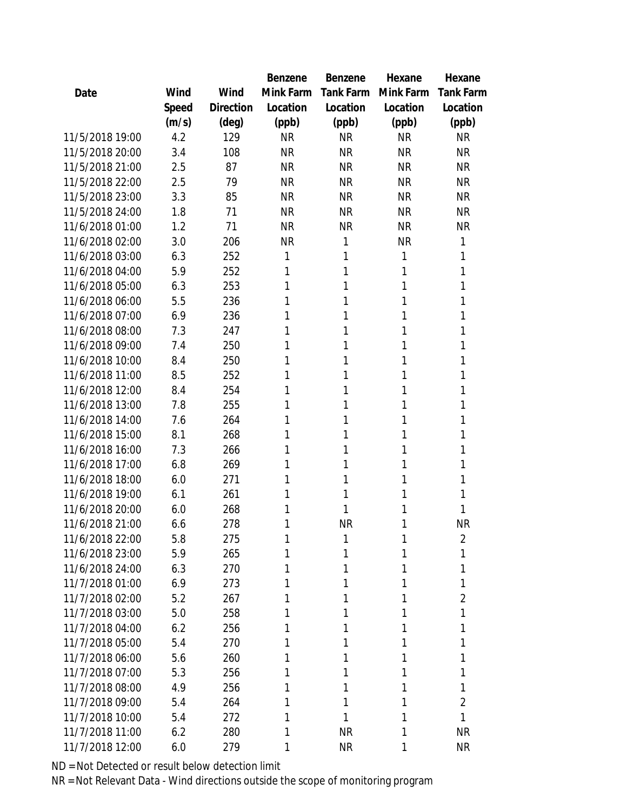|                 |       |                | <b>Benzene</b> | Benzene          | Hexane    | Hexane           |
|-----------------|-------|----------------|----------------|------------------|-----------|------------------|
| Date            | Wind  | Wind           | Mink Farm      | <b>Tank Farm</b> | Mink Farm | <b>Tank Farm</b> |
|                 | Speed | Direction      | Location       | Location         | Location  | Location         |
|                 | (m/s) | $(\text{deg})$ | (ppb)          | (ppb)            | (ppb)     | (ppb)            |
| 11/5/2018 19:00 | 4.2   | 129            | <b>NR</b>      | <b>NR</b>        | <b>NR</b> | <b>NR</b>        |
| 11/5/2018 20:00 | 3.4   | 108            | <b>NR</b>      | <b>NR</b>        | <b>NR</b> | <b>NR</b>        |
| 11/5/2018 21:00 | 2.5   | 87             | <b>NR</b>      | <b>NR</b>        | <b>NR</b> | <b>NR</b>        |
| 11/5/2018 22:00 | 2.5   | 79             | <b>NR</b>      | <b>NR</b>        | <b>NR</b> | <b>NR</b>        |
| 11/5/2018 23:00 | 3.3   | 85             | <b>NR</b>      | <b>NR</b>        | <b>NR</b> | <b>NR</b>        |
| 11/5/2018 24:00 | 1.8   | 71             | <b>NR</b>      | <b>NR</b>        | <b>NR</b> | <b>NR</b>        |
| 11/6/2018 01:00 | 1.2   | 71             | <b>NR</b>      | <b>NR</b>        | <b>NR</b> | <b>NR</b>        |
| 11/6/2018 02:00 | 3.0   | 206            | <b>NR</b>      | 1                | <b>NR</b> | 1                |
| 11/6/2018 03:00 | 6.3   | 252            | 1              | 1                | 1         | 1                |
| 11/6/2018 04:00 | 5.9   | 252            | 1              | 1                | 1         | 1                |
| 11/6/2018 05:00 | 6.3   | 253            | 1              | 1                | 1         | 1                |
| 11/6/2018 06:00 | 5.5   | 236            | 1              | 1                | 1         | 1                |
| 11/6/2018 07:00 | 6.9   | 236            | 1              | 1                | 1         | 1                |
| 11/6/2018 08:00 | 7.3   | 247            | 1              | 1                | 1         | 1                |
| 11/6/2018 09:00 | 7.4   | 250            | 1              | 1                | 1         | 1                |
| 11/6/2018 10:00 | 8.4   | 250            | 1              | 1                | 1         | 1                |
| 11/6/2018 11:00 | 8.5   | 252            | 1              | 1                | 1         | 1                |
| 11/6/2018 12:00 | 8.4   | 254            | 1              | 1                | 1         | 1                |
| 11/6/2018 13:00 | 7.8   | 255            | 1              | 1                | 1         | 1                |
| 11/6/2018 14:00 | 7.6   | 264            | 1              | 1                | 1         | 1                |
| 11/6/2018 15:00 | 8.1   | 268            | 1              | 1                | 1         | 1                |
| 11/6/2018 16:00 | 7.3   | 266            | 1              | 1                | 1         | 1                |
| 11/6/2018 17:00 | 6.8   | 269            | 1              | 1                | 1         | 1                |
| 11/6/2018 18:00 | 6.0   | 271            | 1              | 1                | 1         | 1                |
| 11/6/2018 19:00 | 6.1   | 261            | 1              | 1                | 1         | 1                |
| 11/6/2018 20:00 | 6.0   | 268            | 1              | 1                | 1         | 1                |
| 11/6/2018 21:00 | 6.6   | 278            | 1              | <b>NR</b>        | 1         | <b>NR</b>        |
| 11/6/2018 22:00 | 5.8   | 275            | 1              | 1                | 1         | 2                |
| 11/6/2018 23:00 | 5.9   | 265            | 1              | 1                | 1         | 1                |
| 11/6/2018 24:00 | 6.3   | 270            | 1              | 1                | 1         | 1                |
| 11/7/2018 01:00 | 6.9   | 273            | 1              | 1                | 1         | 1                |
| 11/7/2018 02:00 | 5.2   | 267            | 1              | 1                | 1         | $\overline{2}$   |
| 11/7/2018 03:00 | 5.0   | 258            | 1              | 1                | 1         | 1                |
| 11/7/2018 04:00 | 6.2   | 256            | 1              | 1                | 1         | 1                |
| 11/7/2018 05:00 | 5.4   | 270            | 1              | 1                | 1         |                  |
| 11/7/2018 06:00 | 5.6   | 260            | 1              | 1                | 1         | 1                |
| 11/7/2018 07:00 | 5.3   | 256            | 1              | 1                | 1         | 1                |
| 11/7/2018 08:00 | 4.9   | 256            | 1              | 1                | 1         | 1                |
| 11/7/2018 09:00 | 5.4   | 264            | 1              | 1                | 1         | $\overline{2}$   |
| 11/7/2018 10:00 | 5.4   | 272            | 1              | 1                | 1         | 1                |
| 11/7/2018 11:00 | 6.2   | 280            | 1              | <b>NR</b>        | 1         | <b>NR</b>        |
| 11/7/2018 12:00 | 6.0   | 279            | 1              | <b>NR</b>        | 1         | <b>NR</b>        |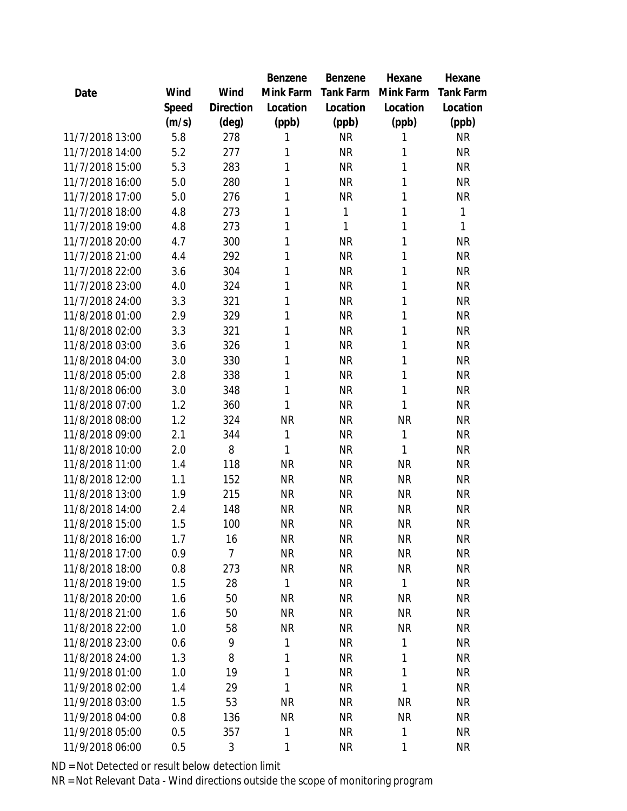|                 |       |                | Benzene   | <b>Benzene</b> | Hexane    | Hexane    |
|-----------------|-------|----------------|-----------|----------------|-----------|-----------|
| Date            | Wind  | Wind           | Mink Farm | Tank Farm      | Mink Farm | Tank Farm |
|                 | Speed | Direction      | Location  | Location       | Location  | Location  |
|                 | (m/s) | (deg)          | (ppb)     | (ppb)          | (ppb)     | (ppb)     |
| 11/7/2018 13:00 | 5.8   | 278            | 1         | <b>NR</b>      | 1         | <b>NR</b> |
| 11/7/2018 14:00 | 5.2   | 277            | 1         | <b>NR</b>      | 1         | <b>NR</b> |
| 11/7/2018 15:00 | 5.3   | 283            | 1         | <b>NR</b>      | 1         | <b>NR</b> |
| 11/7/2018 16:00 | 5.0   | 280            | 1         | <b>NR</b>      | 1         | <b>NR</b> |
| 11/7/2018 17:00 | 5.0   | 276            | 1         | <b>NR</b>      | 1         | ΝR        |
| 11/7/2018 18:00 | 4.8   | 273            | 1         | 1              | 1         | 1         |
| 11/7/2018 19:00 | 4.8   | 273            | 1         | 1              | 1         | 1         |
| 11/7/2018 20:00 | 4.7   | 300            | 1         | <b>NR</b>      | 1         | <b>NR</b> |
| 11/7/2018 21:00 | 4.4   | 292            | 1         | <b>NR</b>      | 1         | <b>NR</b> |
| 11/7/2018 22:00 | 3.6   | 304            | 1         | <b>NR</b>      | 1         | <b>NR</b> |
| 11/7/2018 23:00 | 4.0   | 324            | 1         | <b>NR</b>      | 1         | <b>NR</b> |
| 11/7/2018 24:00 | 3.3   | 321            | 1         | <b>NR</b>      | 1         | <b>NR</b> |
| 11/8/2018 01:00 | 2.9   | 329            | 1         | <b>NR</b>      | 1         | <b>NR</b> |
| 11/8/2018 02:00 | 3.3   | 321            | 1         | <b>NR</b>      | 1         | <b>NR</b> |
| 11/8/2018 03:00 | 3.6   | 326            | 1         | <b>NR</b>      | 1         | <b>NR</b> |
| 11/8/2018 04:00 | 3.0   | 330            | 1         | <b>NR</b>      | 1         | <b>NR</b> |
| 11/8/2018 05:00 | 2.8   | 338            | 1         | <b>NR</b>      | 1         | <b>NR</b> |
| 11/8/2018 06:00 | 3.0   | 348            | 1         | <b>NR</b>      | 1         | <b>NR</b> |
| 11/8/2018 07:00 | 1.2   | 360            | 1         | <b>NR</b>      | 1         | <b>NR</b> |
| 11/8/2018 08:00 | 1.2   | 324            | <b>NR</b> | <b>NR</b>      | <b>NR</b> | ΝR        |
| 11/8/2018 09:00 | 2.1   | 344            | 1         | <b>NR</b>      | 1         | <b>NR</b> |
| 11/8/2018 10:00 | 2.0   | 8              | 1         | <b>NR</b>      | 1         | <b>NR</b> |
| 11/8/2018 11:00 | 1.4   | 118            | <b>NR</b> | <b>NR</b>      | <b>NR</b> | <b>NR</b> |
| 11/8/2018 12:00 | 1.1   | 152            | <b>NR</b> | <b>NR</b>      | <b>NR</b> | <b>NR</b> |
| 11/8/2018 13:00 | 1.9   | 215            | <b>NR</b> | <b>NR</b>      | <b>NR</b> | <b>NR</b> |
| 11/8/2018 14:00 | 2.4   | 148            | <b>NR</b> | <b>NR</b>      | <b>NR</b> | <b>NR</b> |
| 11/8/2018 15:00 | 1.5   | 100            | <b>NR</b> | <b>NR</b>      | <b>NR</b> | <b>NR</b> |
| 11/8/2018 16:00 | 1.7   | 16             | <b>NR</b> | <b>NR</b>      | <b>NR</b> | <b>NR</b> |
| 11/8/2018 17:00 | 0.9   | $\overline{7}$ | <b>NR</b> | <b>NR</b>      | <b>NR</b> | <b>NR</b> |
| 11/8/2018 18:00 | 0.8   | 273            | <b>NR</b> | <b>NR</b>      | <b>NR</b> | <b>NR</b> |
| 11/8/2018 19:00 | 1.5   | 28             | 1         | <b>NR</b>      | 1         | <b>NR</b> |
| 11/8/2018 20:00 | 1.6   | 50             | <b>NR</b> | NR             | <b>NR</b> | <b>NR</b> |
| 11/8/2018 21:00 | 1.6   | 50             | <b>NR</b> | <b>NR</b>      | <b>NR</b> | <b>NR</b> |
| 11/8/2018 22:00 | 1.0   | 58             | <b>NR</b> | <b>NR</b>      | <b>NR</b> | <b>NR</b> |
| 11/8/2018 23:00 | 0.6   | 9              | 1         | <b>NR</b>      | 1         | <b>NR</b> |
| 11/8/2018 24:00 | 1.3   | 8              | 1         | <b>NR</b>      | 1         | <b>NR</b> |
| 11/9/2018 01:00 | 1.0   | 19             | 1         | <b>NR</b>      | 1         | <b>NR</b> |
| 11/9/2018 02:00 | 1.4   | 29             | 1         | <b>NR</b>      | 1         | <b>NR</b> |
| 11/9/2018 03:00 | 1.5   | 53             | <b>NR</b> | <b>NR</b>      | <b>NR</b> | <b>NR</b> |
| 11/9/2018 04:00 | 0.8   | 136            | <b>NR</b> | <b>NR</b>      | <b>NR</b> | <b>NR</b> |
| 11/9/2018 05:00 | 0.5   | 357            | 1         | <b>NR</b>      | 1         | <b>NR</b> |
| 11/9/2018 06:00 | 0.5   | 3              | 1         | <b>NR</b>      | 1         | <b>NR</b> |
|                 |       |                |           |                |           |           |